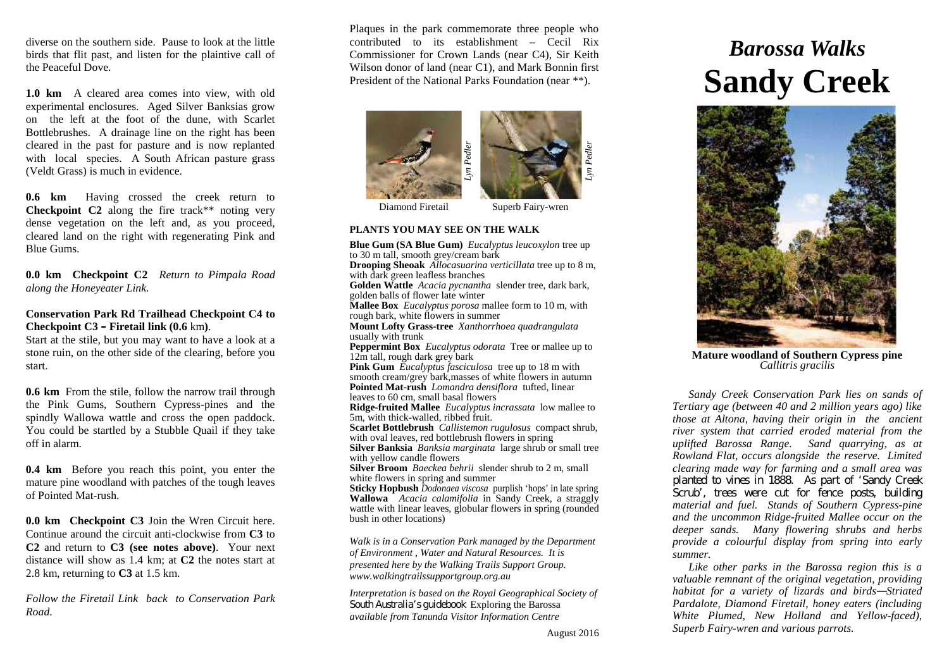diverse on the southern side. Pause to look at the little birds that flit past, and listen for the plaintive call of the Peaceful Dove.

**1.0 km** A cleared area comes into view, with old experimental enclosures. Aged Silver Banksias grow on the left at the foot of the dune, with Scarlet Bottlebrushes. A drainage line on the right has been cleared in the past for pasture and is now replanted with local species. A South African pasture grass (Veldt Grass) is much in evidence.

**0.6 km** Having crossed the creek return to **Checkpoint C2** along the fire track<sup>\*\*</sup> noting very dense vegetation on the left and, as you proceed, cleared land on the right with regenerating Pink and Blue Gums.

**0.0 km Checkpoint C2** *Return to Pimpala Road along the Honeyeater Link.*

## **Conservation Park Rd Trailhead Checkpoint C4 to Checkpoint C3 – Firetail link (0.6** km**)**.

Start at the stile, but you may want to have a look at a stone ruin, on the other side of the clearing, before you start.

**0.6 km** From the stile, follow the narrow trail through the Pink Gums, Southern Cypress-pines and the spindly Wallowa wattle and cross the open paddock. You could be startled by a Stubble Quail if they take off in alarm.

**0.4 km** Before you reach this point, you enter the mature pine woodland with patches of the tough leaves of Pointed Mat-rush.

**0.0 km Checkpoint C3** Join the Wren Circuit here. Continue around the circuit anti-clockwise from **C3** to **C2** and return to **C3 (see notes above)**. Your next distance will show as 1.4 km; at **C2** the notes start at 2.8 km, returning to **C3** at 1.5 km.

*Follow the Firetail Link back to Conservation Park Road.*

Plaques in the park commemorate three people who contributed to its establishment – Cecil Rix Commissioner for Crown Lands (near C4), Sir Keith Wilson donor of land (near C1), and Mark Bonnin first President of the National Parks Foundation (near \*\*).





Diamond Firetail

Superb Fairy-wren

#### **PLANTS YOU MAY SEE ON THE WALK**

**Blue Gum (SA Blue Gum)** *Eucalyptus leucoxylon* tree up to 30 m tall, smooth grey/cream bark **Drooping Sheoak** *Allocasuarina verticillata* tree up to 8 m, with dark green leafless branches **Golden Wattle** *Acacia pycnantha* slender tree, dark bark, golden balls of flower late winter **Mallee Box** *Eucalyptus porosa* mallee form to 10 m, with rough bark, white flowers in summer **Mount Lofty Grass-tree** *Xanthorrhoea quadrangulata* usually with trunk **Peppermint Box** *Eucalyptus odorata* Tree or mallee up to 12m tall, rough dark grey bark **Pink Gum** *Eucalyptus fasciculosa* tree up to 18 m with smooth cream/grey bark,masses of white flowers in autumn **Pointed Mat-rush** *Lomandra densiflora* tufted, linear leaves to 60 cm, small basal flowers **Ridge-fruited Mallee** *Eucalyptus incrassata* low mallee to 5m, with thick-walled, ribbed fruit. **Scarlet Bottlebrush** *Callistemon rugulosus* compact shrub, with oval leaves, red bottlebrush flowers in spring **Silver Banksia** *Banksia marginata* large shrub or small tree with yellow candle flowers

**Silver Broom** *Baeckea behrii* slender shrub to 2 m, small white flowers in spring and summer

**Sticky Hopbush** *Dodonaea viscosa* purplish 'hops' in late spring **Wallowa** *Acacia calamifolia* in Sandy Creek*,* a straggly wattle with linear leaves, globular flowers in spring (rounded bush in other locations)

*Walk is in a Conservation Park managed by the Department of Environment , Water and Natural Resources. It is presented here by the Walking Trails Support Group. www.walkingtrailssupportgroup.org.au*

*Interpretation is based on the Royal Geographical Society of South Australia's guidebook* Exploring the Barossa *available from Tanunda Visitor Information Centre*

# *Barossa Walks* **Sandy Creek**



**Mature woodland of Southern Cypress pine** *Callitris gracilis*

*Sandy Creek Conservation Park lies on sands of Tertiary age (between 40 and 2 million years ago) like those at Altona, having their origin in the ancient river system that carried eroded material from the uplifted Barossa Range. Sand quarrying, as at Rowland Flat, occurs alongside the reserve. Limited clearing made way for farming and a small area was planted to vines in 1888. As part of 'Sandy Creek Scrub', trees were cut for fence posts, building material and fuel. Stands of Southern Cypress-pine and the uncommon Ridge-fruited Mallee occur on the deeper sands. Many flowering shrubs and herbs provide a colourful display from spring into early summer.*

*Like other parks in the Barossa region this is a valuable remnant of the original vegetation, providing habitat for a variety of lizards and birds—Striated Pardalote, Diamond Firetail, honey eaters (including White Plumed, New Holland and Yellow-faced), Superb Fairy-wren and various parrots.*